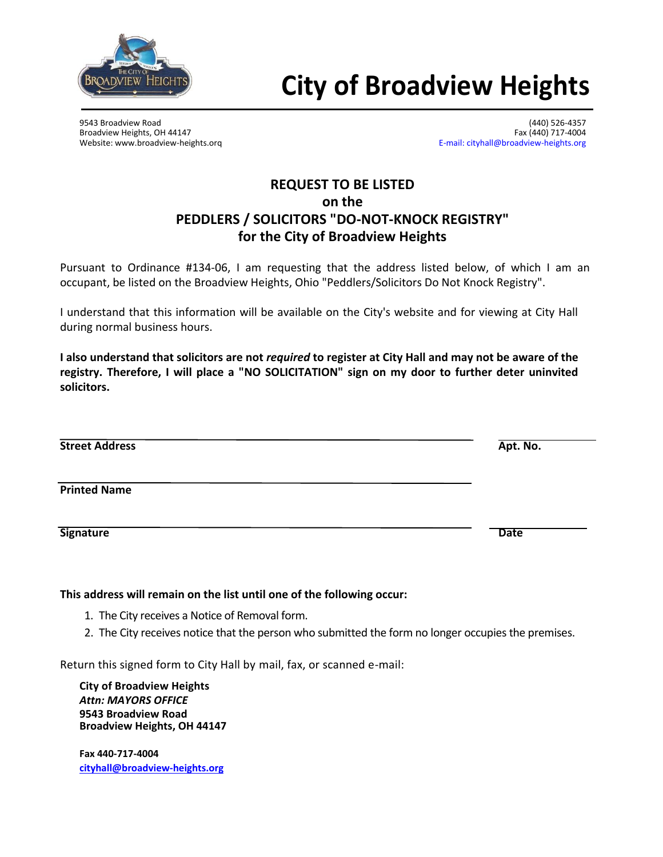

## **City of Broadview Heights**

9543 Broadview Road (440) 526-4357

Broadview Heights, OH 44147<br>Website: www.broadview-heights.org exercises are also assumed by the set of the E-mail: cityhall@broadview-heights.org [E-mail: cityhall@broadview-heights.org](mailto:cityhall@broadview-heights.org)

## **REQUEST TO BE LISTED on the PEDDLERS / SOLICITORS "DO-NOT-KNOCK REGISTRY" for the City of Broadview Heights**

Pursuant to Ordinance #134-06, I am requesting that the address listed below, of which I am an occupant, be listed on the Broadview Heights, Ohio "Peddlers/Solicitors Do Not Knock Registry".

I understand that this information will be available on the City's website and for viewing at City Hall during normal business hours.

**I also understand that solicitors are not** *required* **to register at City Hall and may not be aware of the registry. Therefore, I will place a "NO SOLICITATION" sign on my door to further deter uninvited solicitors.**

| <b>Street Address</b> | Apt. No.    |
|-----------------------|-------------|
| <b>Printed Name</b>   |             |
|                       |             |
| <b>Signature</b>      | <b>Date</b> |

## **This address will remain on the list until one of the following occur:**

- 1. The City receives a Notice of Removal form.
- 2. The City receives notice that the person who submitted the form no longer occupies the premises.

Return this signed form to City Hall by mail, fax, or scanned e-mail:

**City of Broadview Heights** *Attn: MAYORS OFFICE* **9543 Broadview Road Broadview Heights, OH 44147**

**Fax 440-717-4004 [cityhall@broadview-heights.org](mailto:cityhall@broadview-heights.org)**